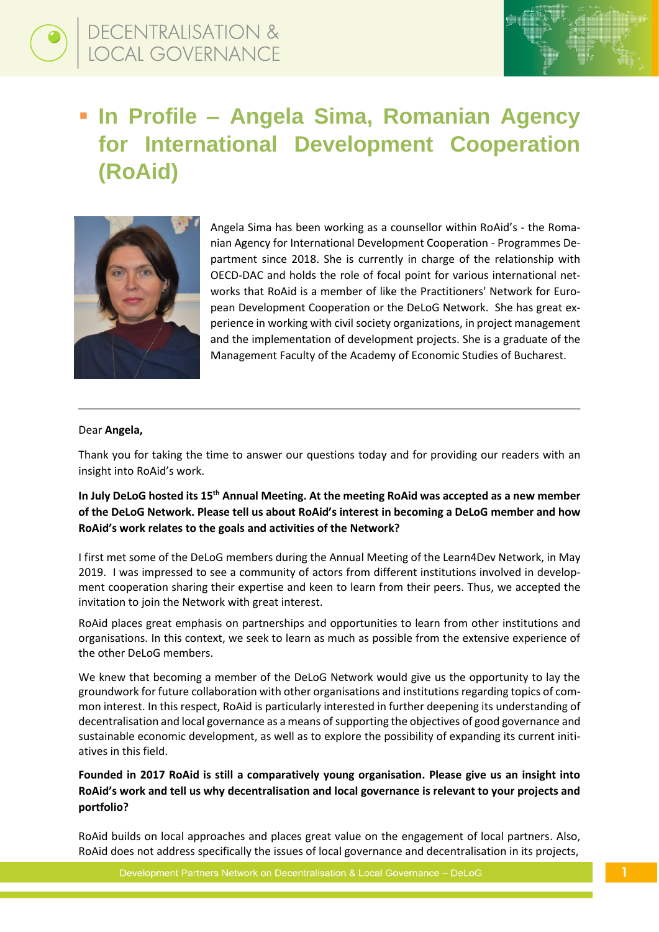

# ▪ **In Profile – Angela Sima, Romanian Agency for International Development Cooperation (RoAid)**



Angela Sima has been working as a counsellor within RoAid's - the Romanian Agency for International Development Cooperation - Programmes Department since 2018. She is currently in charge of the relationship with OECD-DAC and holds the role of focal point for various international networks that RoAid is a member of like the Practitioners' Network for European Development Cooperation or the DeLoG Network. She has great experience in working with civil society organizations, in project management and the implementation of development projects. She is a graduate of the Management Faculty of the Academy of Economic Studies of Bucharest.

#### Dear **Angela,**

Thank you for taking the time to answer our questions today and for providing our readers with an insight into RoAid's work.

# **In July DeLoG hosted its 15th Annual Meeting. At the meeting RoAid was accepted as a new member of the DeLoG Network. Please tell us about RoAid's interest in becoming a DeLoG member and how RoAid's work relates to the goals and activities of the Network?**

I first met some of the DeLoG members during the Annual Meeting of the Learn4Dev Network, in May 2019. I was impressed to see a community of actors from different institutions involved in development cooperation sharing their expertise and keen to learn from their peers. Thus, we accepted the invitation to join the Network with great interest.

RoAid places great emphasis on partnerships and opportunities to learn from other institutions and organisations. In this context, we seek to learn as much as possible from the extensive experience of the other DeLoG members.

We knew that becoming a member of the DeLoG Network would give us the opportunity to lay the groundwork for future collaboration with other organisations and institutions regarding topics of common interest. In this respect, RoAid is particularly interested in further deepening its understanding of decentralisation and local governance as a means of supporting the objectives of good governance and sustainable economic development, as well as to explore the possibility of expanding its current initiatives in this field.

# **Founded in 2017 RoAid is still a comparatively young organisation. Please give us an insight into RoAid's work and tell us why decentralisation and local governance is relevant to your projects and portfolio?**

RoAid builds on local approaches and places great value on the engagement of local partners. Also, RoAid does not address specifically the issues of local governance and decentralisation in its projects,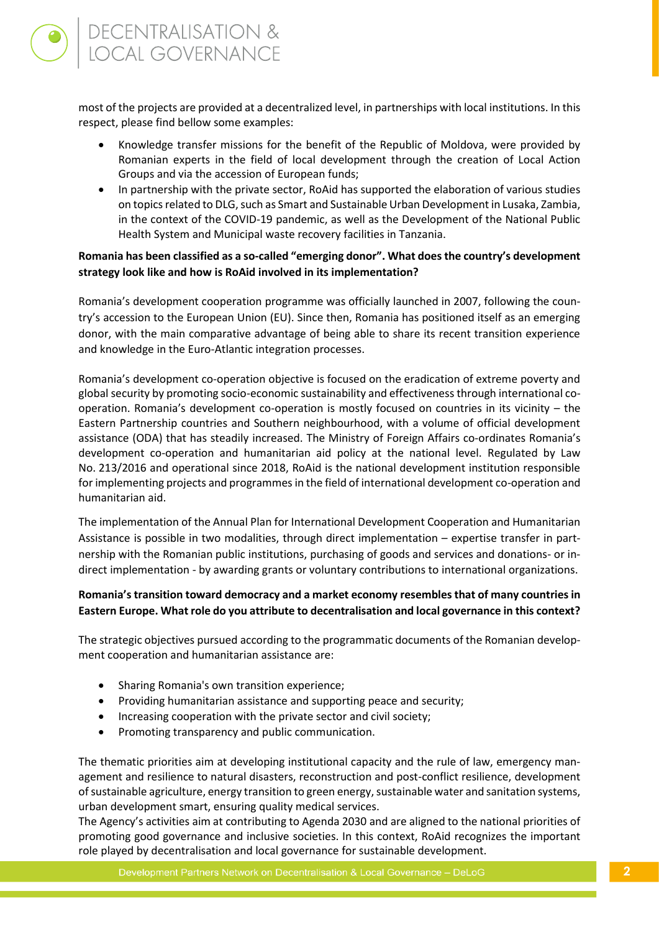most of the projects are provided at a decentralized level, in partnerships with local institutions. In this respect, please find bellow some examples:

- Knowledge transfer missions for the benefit of the Republic of Moldova, were provided by Romanian experts in the field of local development through the creation of Local Action Groups and via the accession of European funds;
- In partnership with the private sector, RoAid has supported the elaboration of various studies on topics related to DLG, such as Smart and Sustainable Urban Development in Lusaka, Zambia, in the context of the COVID-19 pandemic, as well as the Development of the National Public Health System and Municipal waste recovery facilities in Tanzania.

### **Romania has been classified as a so-called "emerging donor". What does the country's development strategy look like and how is RoAid involved in its implementation?**

Romania's development cooperation programme was officially launched in 2007, following the country's accession to the European Union (EU). Since then, Romania has positioned itself as an emerging donor, with the main comparative advantage of being able to share its recent transition experience and knowledge in the Euro-Atlantic integration processes.

Romania's development co-operation objective is focused on the eradication of extreme poverty and global security by promoting socio-economic sustainability and effectiveness through international cooperation. Romania's development co-operation is mostly focused on countries in its vicinity – the Eastern Partnership countries and Southern neighbourhood, with a volume of official development assistance (ODA) that has steadily increased. The Ministry of Foreign Affairs co-ordinates Romania's development co-operation and humanitarian aid policy at the national level. Regulated by Law No. 213/2016 and operational since 2018, RoAid is the national development institution responsible for implementing projects and programmes in the field of international development co-operation and humanitarian aid.

The implementation of the Annual Plan for International Development Cooperation and Humanitarian Assistance is possible in two modalities, through direct implementation – expertise transfer in partnership with the Romanian public institutions, purchasing of goods and services and donations- or indirect implementation - by awarding grants or voluntary contributions to international organizations.

### **Romania'stransition toward democracy and a market economy resembles that of many countries in Eastern Europe. What role do you attribute to decentralisation and local governance in this context?**

The strategic objectives pursued according to the programmatic documents of the Romanian development cooperation and humanitarian assistance are:

- Sharing Romania's own transition experience;
- Providing humanitarian assistance and supporting peace and security;
- Increasing cooperation with the private sector and civil society;
- Promoting transparency and public communication.

The thematic priorities aim at developing institutional capacity and the rule of law, emergency management and resilience to natural disasters, reconstruction and post-conflict resilience, development of sustainable agriculture, energy transition to green energy, sustainable water and sanitation systems, urban development smart, ensuring quality medical services.

The Agency's activities aim at contributing to Agenda 2030 and are aligned to the national priorities of promoting good governance and inclusive societies. In this context, RoAid recognizes the important role played by decentralisation and local governance for sustainable development.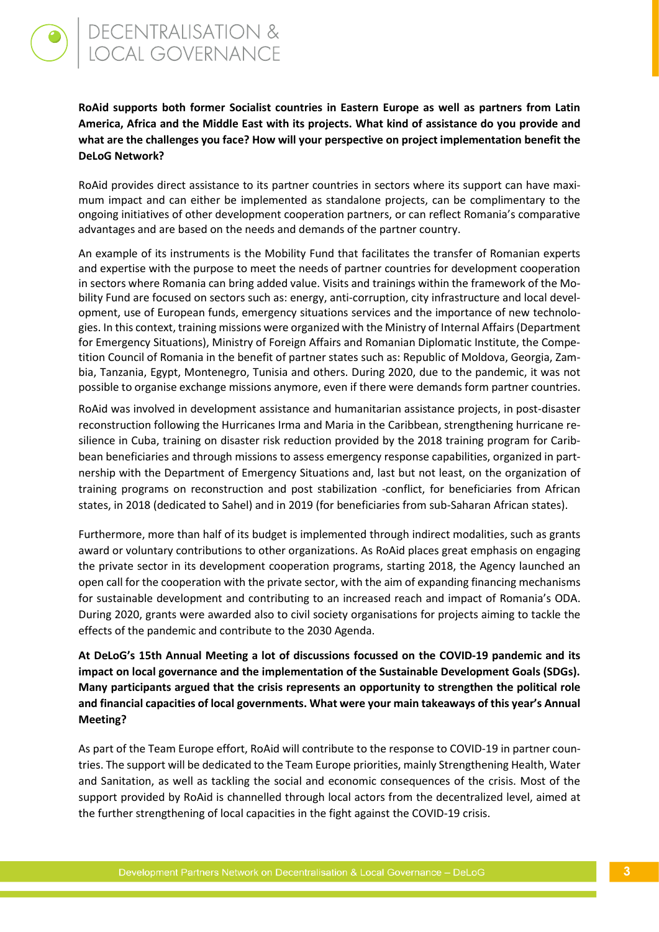**RoAid supports both former Socialist countries in Eastern Europe as well as partners from Latin America, Africa and the Middle East with its projects. What kind of assistance do you provide and what are the challenges you face? How will your perspective on project implementation benefit the DeLoG Network?** 

RoAid provides direct assistance to its partner countries in sectors where its support can have maximum impact and can either be implemented as standalone projects, can be complimentary to the ongoing initiatives of other development cooperation partners, or can reflect Romania's comparative advantages and are based on the needs and demands of the partner country.

An example of its instruments is the Mobility Fund that facilitates the transfer of Romanian experts and expertise with the purpose to meet the needs of partner countries for development cooperation in sectors where Romania can bring added value. Visits and trainings within the framework of the Mobility Fund are focused on sectors such as: energy, anti-corruption, city infrastructure and local development, use of European funds, emergency situations services and the importance of new technologies. In this context, training missions were organized with the Ministry of Internal Affairs (Department for Emergency Situations), Ministry of Foreign Affairs and Romanian Diplomatic Institute, the Competition Council of Romania in the benefit of partner states such as: Republic of Moldova, Georgia, Zambia, Tanzania, Egypt, Montenegro, Tunisia and others. During 2020, due to the pandemic, it was not possible to organise exchange missions anymore, even if there were demands form partner countries.

RoAid was involved in development assistance and humanitarian assistance projects, in post-disaster reconstruction following the Hurricanes Irma and Maria in the Caribbean, strengthening hurricane resilience in Cuba, training on disaster risk reduction provided by the 2018 training program for Caribbean beneficiaries and through missions to assess emergency response capabilities, organized in partnership with the Department of Emergency Situations and, last but not least, on the organization of training programs on reconstruction and post stabilization -conflict, for beneficiaries from African states, in 2018 (dedicated to Sahel) and in 2019 (for beneficiaries from sub-Saharan African states).

Furthermore, more than half of its budget is implemented through indirect modalities, such as grants award or voluntary contributions to other organizations. As RoAid places great emphasis on engaging the private sector in its development cooperation programs, starting 2018, the Agency launched an open call for the cooperation with the private sector, with the aim of expanding financing mechanisms for sustainable development and contributing to an increased reach and impact of Romania's ODA. During 2020, grants were awarded also to civil society organisations for projects aiming to tackle the effects of the pandemic and contribute to the 2030 Agenda.

**At DeLoG's 15th Annual Meeting a lot of discussions focussed on the COVID-19 pandemic and its impact on local governance and the implementation of the Sustainable Development Goals (SDGs). Many participants argued that the crisis represents an opportunity to strengthen the political role and financial capacities of local governments. What were your main takeaways of this year's Annual Meeting?** 

As part of the Team Europe effort, RoAid will contribute to the response to COVID-19 in partner countries. The support will be dedicated to the Team Europe priorities, mainly Strengthening Health, Water and Sanitation, as well as tackling the social and economic consequences of the crisis. Most of the support provided by RoAid is channelled through local actors from the decentralized level, aimed at the further strengthening of local capacities in the fight against the COVID-19 crisis.